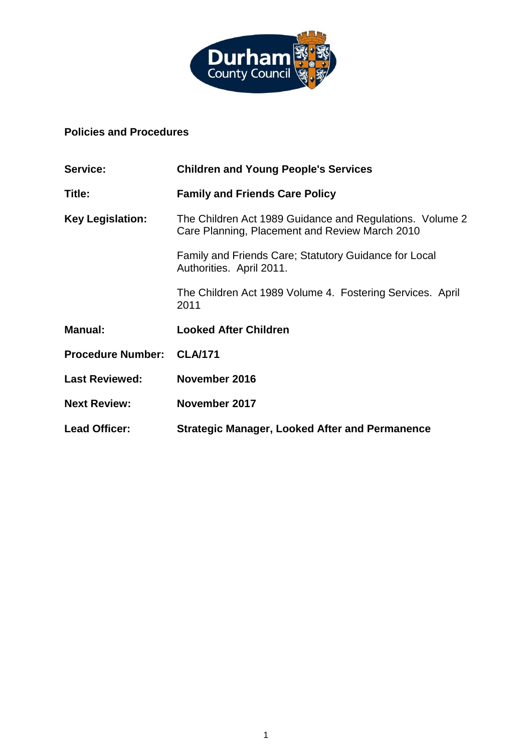

# **Policies and Procedures**

| Service:                 | <b>Children and Young People's Services</b>                                                                |  |
|--------------------------|------------------------------------------------------------------------------------------------------------|--|
| Title:                   | <b>Family and Friends Care Policy</b>                                                                      |  |
| <b>Key Legislation:</b>  | The Children Act 1989 Guidance and Regulations. Volume 2<br>Care Planning, Placement and Review March 2010 |  |
|                          | Family and Friends Care; Statutory Guidance for Local<br>Authorities. April 2011.                          |  |
|                          | The Children Act 1989 Volume 4. Fostering Services. April<br>2011                                          |  |
| <b>Manual:</b>           | <b>Looked After Children</b>                                                                               |  |
| <b>Procedure Number:</b> | <b>CLA/171</b>                                                                                             |  |
| <b>Last Reviewed:</b>    | November 2016                                                                                              |  |
| <b>Next Review:</b>      | November 2017                                                                                              |  |
| <b>Lead Officer:</b>     | <b>Strategic Manager, Looked After and Permanence</b>                                                      |  |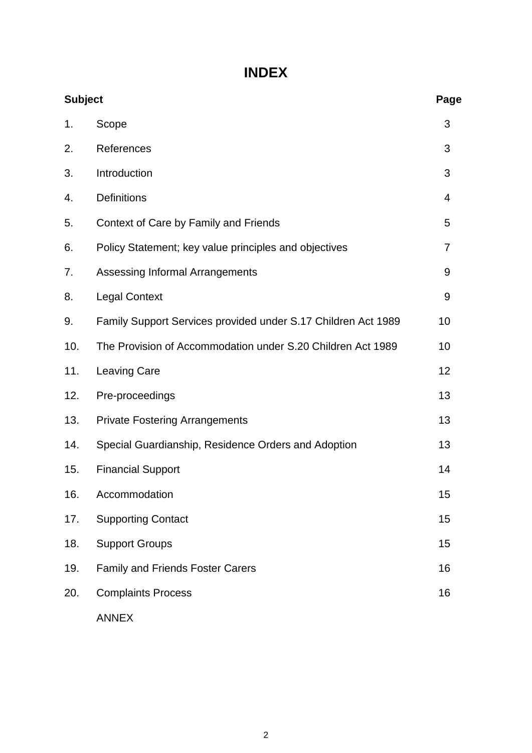# **INDEX**

| <b>Subject</b> |                                                               | Page |
|----------------|---------------------------------------------------------------|------|
| 1.             | Scope                                                         | 3    |
| 2.             | References                                                    | 3    |
| 3.             | Introduction                                                  | 3    |
| 4.             | Definitions                                                   | 4    |
| 5.             | Context of Care by Family and Friends                         | 5    |
| 6.             | Policy Statement; key value principles and objectives         | 7    |
| 7.             | Assessing Informal Arrangements                               | 9    |
| 8.             | <b>Legal Context</b>                                          | 9    |
| 9.             | Family Support Services provided under S.17 Children Act 1989 | 10   |
| 10.            | The Provision of Accommodation under S.20 Children Act 1989   | 10   |
| 11.            | <b>Leaving Care</b>                                           | 12   |
| 12.            | Pre-proceedings                                               | 13   |
| 13.            | <b>Private Fostering Arrangements</b>                         | 13   |
| 14.            | Special Guardianship, Residence Orders and Adoption           | 13   |
| 15.            | <b>Financial Support</b>                                      | 14   |
| 16.            | Accommodation                                                 | 15   |
| 17.            | <b>Supporting Contact</b>                                     | 15   |
| 18.            | <b>Support Groups</b>                                         | 15   |
| 19.            | <b>Family and Friends Foster Carers</b>                       | 16   |
| 20.            | <b>Complaints Process</b>                                     | 16   |
|                | <b>ANNEX</b>                                                  |      |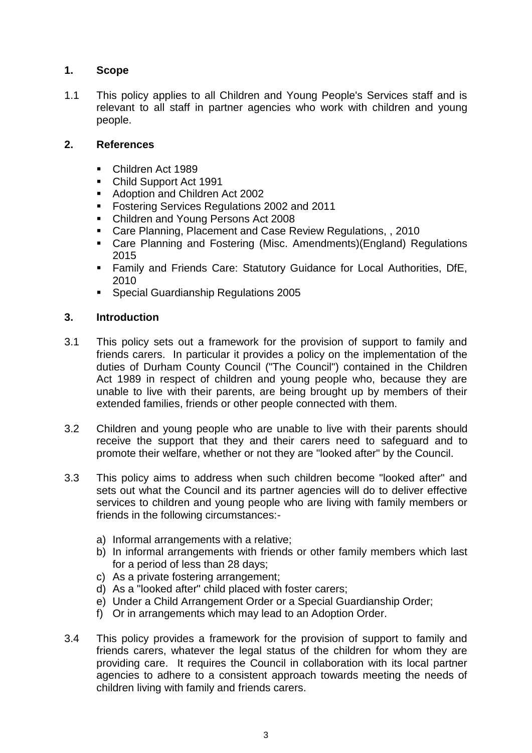# **1. Scope**

1.1 This policy applies to all Children and Young People's Services staff and is relevant to all staff in partner agencies who work with children and young people.

# **2. References**

- Children Act 1989
- Child Support Act 1991
- Adoption and Children Act 2002
- **Fostering Services Regulations 2002 and 2011**
- Children and Young Persons Act 2008
- Care Planning, Placement and Case Review Regulations, , 2010
- Care Planning and Fostering (Misc. Amendments)(England) Regulations 2015
- Family and Friends Care: Statutory Guidance for Local Authorities, DfE, 2010
- Special Guardianship Regulations 2005

# **3. Introduction**

- 3.1 This policy sets out a framework for the provision of support to family and friends carers. In particular it provides a policy on the implementation of the duties of Durham County Council ("The Council") contained in the Children Act 1989 in respect of children and young people who, because they are unable to live with their parents, are being brought up by members of their extended families, friends or other people connected with them.
- 3.2 Children and young people who are unable to live with their parents should receive the support that they and their carers need to safeguard and to promote their welfare, whether or not they are "looked after" by the Council.
- 3.3 This policy aims to address when such children become "looked after" and sets out what the Council and its partner agencies will do to deliver effective services to children and young people who are living with family members or friends in the following circumstances:
	- a) Informal arrangements with a relative;
	- b) In informal arrangements with friends or other family members which last for a period of less than 28 days;
	- c) As a private fostering arrangement;
	- d) As a "looked after" child placed with foster carers;
	- e) Under a Child Arrangement Order or a Special Guardianship Order;
	- f) Or in arrangements which may lead to an Adoption Order.
- 3.4 This policy provides a framework for the provision of support to family and friends carers, whatever the legal status of the children for whom they are providing care. It requires the Council in collaboration with its local partner agencies to adhere to a consistent approach towards meeting the needs of children living with family and friends carers.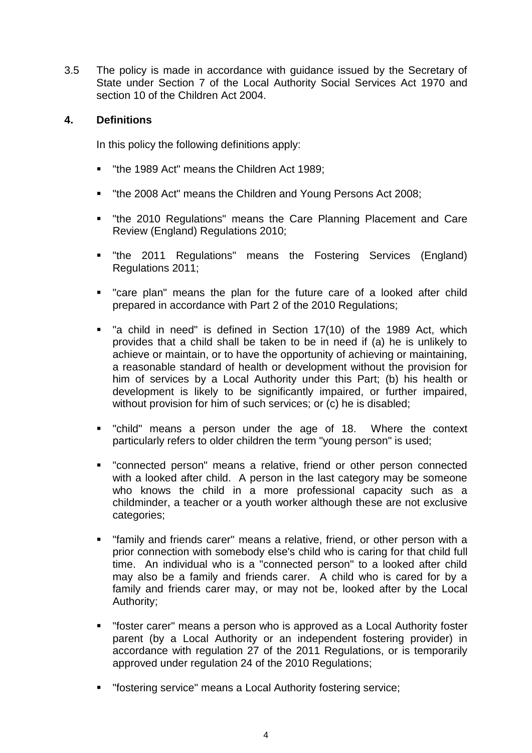3.5 The policy is made in accordance with guidance issued by the Secretary of State under Section 7 of the Local Authority Social Services Act 1970 and section 10 of the Children Act 2004.

# **4. Definitions**

In this policy the following definitions apply:

- "the 1989 Act" means the Children Act 1989;
- "the 2008 Act" means the Children and Young Persons Act 2008;
- "the 2010 Regulations" means the Care Planning Placement and Care Review (England) Regulations 2010;
- **•** "the 2011 Regulations" means the Fostering Services (England) Regulations 2011;
- "care plan" means the plan for the future care of a looked after child prepared in accordance with Part 2 of the 2010 Regulations;
- " "a child in need" is defined in Section 17(10) of the 1989 Act, which provides that a child shall be taken to be in need if (a) he is unlikely to achieve or maintain, or to have the opportunity of achieving or maintaining, a reasonable standard of health or development without the provision for him of services by a Local Authority under this Part; (b) his health or development is likely to be significantly impaired, or further impaired, without provision for him of such services; or (c) he is disabled;
- "child" means a person under the age of 18. Where the context particularly refers to older children the term "young person" is used;
- "connected person" means a relative, friend or other person connected with a looked after child. A person in the last category may be someone who knows the child in a more professional capacity such as a childminder, a teacher or a youth worker although these are not exclusive categories;
- "family and friends carer" means a relative, friend, or other person with a prior connection with somebody else's child who is caring for that child full time. An individual who is a "connected person" to a looked after child may also be a family and friends carer. A child who is cared for by a family and friends carer may, or may not be, looked after by the Local Authority;
- "foster carer" means a person who is approved as a Local Authority foster parent (by a Local Authority or an independent fostering provider) in accordance with regulation 27 of the 2011 Regulations, or is temporarily approved under regulation 24 of the 2010 Regulations;
- "fostering service" means a Local Authority fostering service;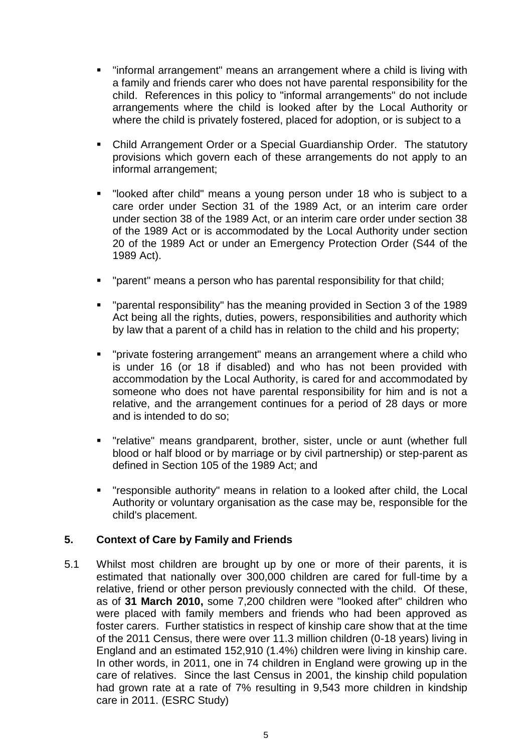- "informal arrangement" means an arrangement where a child is living with a family and friends carer who does not have parental responsibility for the child. References in this policy to "informal arrangements" do not include arrangements where the child is looked after by the Local Authority or where the child is privately fostered, placed for adoption, or is subject to a
- Child Arrangement Order or a Special Guardianship Order. The statutory provisions which govern each of these arrangements do not apply to an informal arrangement;
- "looked after child" means a young person under 18 who is subject to a care order under Section 31 of the 1989 Act, or an interim care order under section 38 of the 1989 Act, or an interim care order under section 38 of the 1989 Act or is accommodated by the Local Authority under section 20 of the 1989 Act or under an Emergency Protection Order (S44 of the 1989 Act).
- "parent" means a person who has parental responsibility for that child;
- "parental responsibility" has the meaning provided in Section 3 of the 1989 Act being all the rights, duties, powers, responsibilities and authority which by law that a parent of a child has in relation to the child and his property;
- "private fostering arrangement" means an arrangement where a child who is under 16 (or 18 if disabled) and who has not been provided with accommodation by the Local Authority, is cared for and accommodated by someone who does not have parental responsibility for him and is not a relative, and the arrangement continues for a period of 28 days or more and is intended to do so;
- "relative" means grandparent, brother, sister, uncle or aunt (whether full blood or half blood or by marriage or by civil partnership) or step-parent as defined in Section 105 of the 1989 Act; and
- "responsible authority" means in relation to a looked after child, the Local Authority or voluntary organisation as the case may be, responsible for the child's placement.

# **5. Context of Care by Family and Friends**

5.1 Whilst most children are brought up by one or more of their parents, it is estimated that nationally over 300,000 children are cared for full-time by a relative, friend or other person previously connected with the child. Of these, as of **31 March 2010,** some 7,200 children were "looked after" children who were placed with family members and friends who had been approved as foster carers. Further statistics in respect of kinship care show that at the time of the 2011 Census, there were over 11.3 million children (0-18 years) living in England and an estimated 152,910 (1.4%) children were living in kinship care. In other words, in 2011, one in 74 children in England were growing up in the care of relatives. Since the last Census in 2001, the kinship child population had grown rate at a rate of 7% resulting in 9,543 more children in kindship care in 2011. (ESRC Study)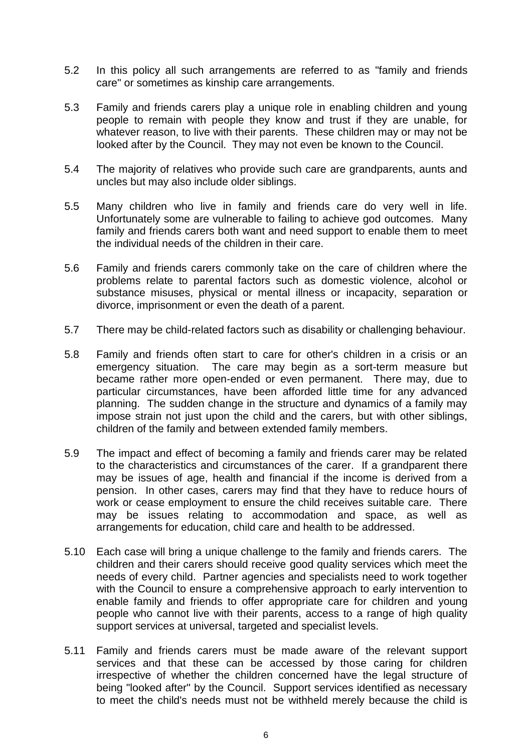- 5.2 In this policy all such arrangements are referred to as "family and friends care" or sometimes as kinship care arrangements.
- 5.3 Family and friends carers play a unique role in enabling children and young people to remain with people they know and trust if they are unable, for whatever reason, to live with their parents. These children may or may not be looked after by the Council. They may not even be known to the Council.
- 5.4 The majority of relatives who provide such care are grandparents, aunts and uncles but may also include older siblings.
- 5.5 Many children who live in family and friends care do very well in life. Unfortunately some are vulnerable to failing to achieve god outcomes. Many family and friends carers both want and need support to enable them to meet the individual needs of the children in their care.
- 5.6 Family and friends carers commonly take on the care of children where the problems relate to parental factors such as domestic violence, alcohol or substance misuses, physical or mental illness or incapacity, separation or divorce, imprisonment or even the death of a parent.
- 5.7 There may be child-related factors such as disability or challenging behaviour.
- 5.8 Family and friends often start to care for other's children in a crisis or an emergency situation. The care may begin as a sort-term measure but became rather more open-ended or even permanent. There may, due to particular circumstances, have been afforded little time for any advanced planning. The sudden change in the structure and dynamics of a family may impose strain not just upon the child and the carers, but with other siblings, children of the family and between extended family members.
- 5.9 The impact and effect of becoming a family and friends carer may be related to the characteristics and circumstances of the carer. If a grandparent there may be issues of age, health and financial if the income is derived from a pension. In other cases, carers may find that they have to reduce hours of work or cease employment to ensure the child receives suitable care. There may be issues relating to accommodation and space, as well as arrangements for education, child care and health to be addressed.
- 5.10 Each case will bring a unique challenge to the family and friends carers. The children and their carers should receive good quality services which meet the needs of every child. Partner agencies and specialists need to work together with the Council to ensure a comprehensive approach to early intervention to enable family and friends to offer appropriate care for children and young people who cannot live with their parents, access to a range of high quality support services at universal, targeted and specialist levels.
- 5.11 Family and friends carers must be made aware of the relevant support services and that these can be accessed by those caring for children irrespective of whether the children concerned have the legal structure of being "looked after" by the Council. Support services identified as necessary to meet the child's needs must not be withheld merely because the child is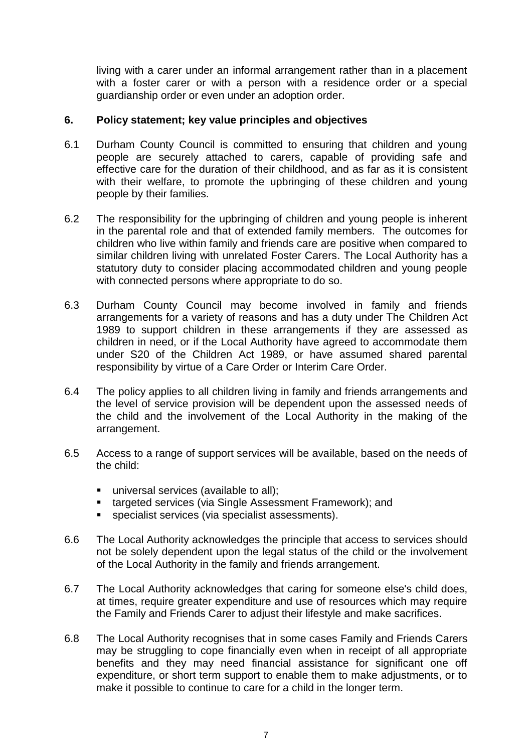living with a carer under an informal arrangement rather than in a placement with a foster carer or with a person with a residence order or a special guardianship order or even under an adoption order.

#### **6. Policy statement; key value principles and objectives**

- 6.1 Durham County Council is committed to ensuring that children and young people are securely attached to carers, capable of providing safe and effective care for the duration of their childhood, and as far as it is consistent with their welfare, to promote the upbringing of these children and young people by their families.
- 6.2 The responsibility for the upbringing of children and young people is inherent in the parental role and that of extended family members. The outcomes for children who live within family and friends care are positive when compared to similar children living with unrelated Foster Carers. The Local Authority has a statutory duty to consider placing accommodated children and young people with connected persons where appropriate to do so.
- 6.3 Durham County Council may become involved in family and friends arrangements for a variety of reasons and has a duty under The Children Act 1989 to support children in these arrangements if they are assessed as children in need, or if the Local Authority have agreed to accommodate them under S20 of the Children Act 1989, or have assumed shared parental responsibility by virtue of a Care Order or Interim Care Order.
- 6.4 The policy applies to all children living in family and friends arrangements and the level of service provision will be dependent upon the assessed needs of the child and the involvement of the Local Authority in the making of the arrangement.
- 6.5 Access to a range of support services will be available, based on the needs of the child:
	- universal services (available to all);
	- **targeted services (via Single Assessment Framework); and**
	- specialist services (via specialist assessments).
- 6.6 The Local Authority acknowledges the principle that access to services should not be solely dependent upon the legal status of the child or the involvement of the Local Authority in the family and friends arrangement.
- 6.7 The Local Authority acknowledges that caring for someone else's child does, at times, require greater expenditure and use of resources which may require the Family and Friends Carer to adjust their lifestyle and make sacrifices.
- 6.8 The Local Authority recognises that in some cases Family and Friends Carers may be struggling to cope financially even when in receipt of all appropriate benefits and they may need financial assistance for significant one off expenditure, or short term support to enable them to make adjustments, or to make it possible to continue to care for a child in the longer term.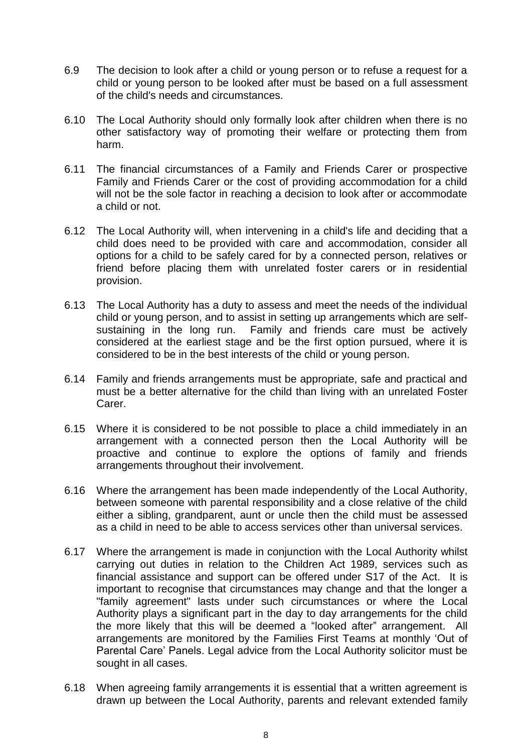- 6.9 The decision to look after a child or young person or to refuse a request for a child or young person to be looked after must be based on a full assessment of the child's needs and circumstances.
- 6.10 The Local Authority should only formally look after children when there is no other satisfactory way of promoting their welfare or protecting them from harm.
- 6.11 The financial circumstances of a Family and Friends Carer or prospective Family and Friends Carer or the cost of providing accommodation for a child will not be the sole factor in reaching a decision to look after or accommodate a child or not.
- 6.12 The Local Authority will, when intervening in a child's life and deciding that a child does need to be provided with care and accommodation, consider all options for a child to be safely cared for by a connected person, relatives or friend before placing them with unrelated foster carers or in residential provision.
- 6.13 The Local Authority has a duty to assess and meet the needs of the individual child or young person, and to assist in setting up arrangements which are selfsustaining in the long run. Family and friends care must be actively considered at the earliest stage and be the first option pursued, where it is considered to be in the best interests of the child or young person.
- 6.14 Family and friends arrangements must be appropriate, safe and practical and must be a better alternative for the child than living with an unrelated Foster Carer.
- 6.15 Where it is considered to be not possible to place a child immediately in an arrangement with a connected person then the Local Authority will be proactive and continue to explore the options of family and friends arrangements throughout their involvement.
- 6.16 Where the arrangement has been made independently of the Local Authority, between someone with parental responsibility and a close relative of the child either a sibling, grandparent, aunt or uncle then the child must be assessed as a child in need to be able to access services other than universal services.
- 6.17 Where the arrangement is made in conjunction with the Local Authority whilst carrying out duties in relation to the Children Act 1989, services such as financial assistance and support can be offered under S17 of the Act. It is important to recognise that circumstances may change and that the longer a "family agreement" lasts under such circumstances or where the Local Authority plays a significant part in the day to day arrangements for the child the more likely that this will be deemed a "looked after" arrangement. All arrangements are monitored by the Families First Teams at monthly 'Out of Parental Care' Panels. Legal advice from the Local Authority solicitor must be sought in all cases.
- 6.18 When agreeing family arrangements it is essential that a written agreement is drawn up between the Local Authority, parents and relevant extended family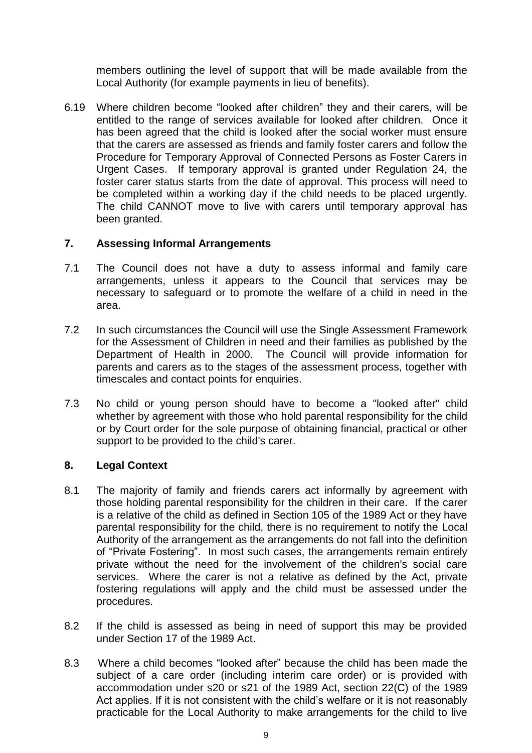members outlining the level of support that will be made available from the Local Authority (for example payments in lieu of benefits).

6.19 Where children become "looked after children" they and their carers, will be entitled to the range of services available for looked after children. Once it has been agreed that the child is looked after the social worker must ensure that the carers are assessed as friends and family foster carers and follow the Procedure for Temporary Approval of Connected Persons as Foster Carers in Urgent Cases. If temporary approval is granted under Regulation 24, the foster carer status starts from the date of approval. This process will need to be completed within a working day if the child needs to be placed urgently. The child CANNOT move to live with carers until temporary approval has been granted.

# **7. Assessing Informal Arrangements**

- 7.1 The Council does not have a duty to assess informal and family care arrangements, unless it appears to the Council that services may be necessary to safeguard or to promote the welfare of a child in need in the area.
- 7.2 In such circumstances the Council will use the Single Assessment Framework for the Assessment of Children in need and their families as published by the Department of Health in 2000. The Council will provide information for parents and carers as to the stages of the assessment process, together with timescales and contact points for enquiries.
- 7.3 No child or young person should have to become a "looked after" child whether by agreement with those who hold parental responsibility for the child or by Court order for the sole purpose of obtaining financial, practical or other support to be provided to the child's carer.

# **8. Legal Context**

- 8.1 The majority of family and friends carers act informally by agreement with those holding parental responsibility for the children in their care. If the carer is a relative of the child as defined in Section 105 of the 1989 Act or they have parental responsibility for the child, there is no requirement to notify the Local Authority of the arrangement as the arrangements do not fall into the definition of "Private Fostering". In most such cases, the arrangements remain entirely private without the need for the involvement of the children's social care services. Where the carer is not a relative as defined by the Act, private fostering regulations will apply and the child must be assessed under the procedures.
- 8.2 If the child is assessed as being in need of support this may be provided under Section 17 of the 1989 Act.
- 8.3 Where a child becomes "looked after" because the child has been made the subject of a care order (including interim care order) or is provided with accommodation under s20 or s21 of the 1989 Act, section 22(C) of the 1989 Act applies. If it is not consistent with the child's welfare or it is not reasonably practicable for the Local Authority to make arrangements for the child to live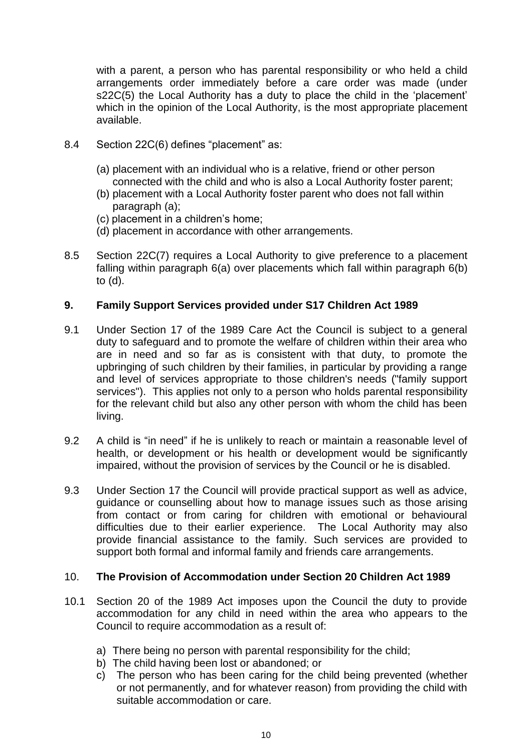with a parent, a person who has parental responsibility or who held a child arrangements order immediately before a care order was made (under s22C(5) the Local Authority has a duty to place the child in the 'placement' which in the opinion of the Local Authority, is the most appropriate placement available.

- 8.4 Section 22C(6) defines "placement" as:
	- (a) placement with an individual who is a relative, friend or other person connected with the child and who is also a Local Authority foster parent;
	- (b) placement with a Local Authority foster parent who does not fall within paragraph (a);
	- (c) placement in a children's home;
	- (d) placement in accordance with other arrangements.
- 8.5 Section 22C(7) requires a Local Authority to give preference to a placement falling within paragraph 6(a) over placements which fall within paragraph 6(b) to (d).

# **9. Family Support Services provided under S17 Children Act 1989**

- 9.1 Under Section 17 of the 1989 Care Act the Council is subject to a general duty to safeguard and to promote the welfare of children within their area who are in need and so far as is consistent with that duty, to promote the upbringing of such children by their families, in particular by providing a range and level of services appropriate to those children's needs ("family support services"). This applies not only to a person who holds parental responsibility for the relevant child but also any other person with whom the child has been living.
- 9.2 A child is "in need" if he is unlikely to reach or maintain a reasonable level of health, or development or his health or development would be significantly impaired, without the provision of services by the Council or he is disabled.
- 9.3 Under Section 17 the Council will provide practical support as well as advice, guidance or counselling about how to manage issues such as those arising from contact or from caring for children with emotional or behavioural difficulties due to their earlier experience. The Local Authority may also provide financial assistance to the family. Such services are provided to support both formal and informal family and friends care arrangements.

# 10. **The Provision of Accommodation under Section 20 Children Act 1989**

- 10.1 Section 20 of the 1989 Act imposes upon the Council the duty to provide accommodation for any child in need within the area who appears to the Council to require accommodation as a result of:
	- a) There being no person with parental responsibility for the child;
	- b) The child having been lost or abandoned; or
	- c) The person who has been caring for the child being prevented (whether or not permanently, and for whatever reason) from providing the child with suitable accommodation or care.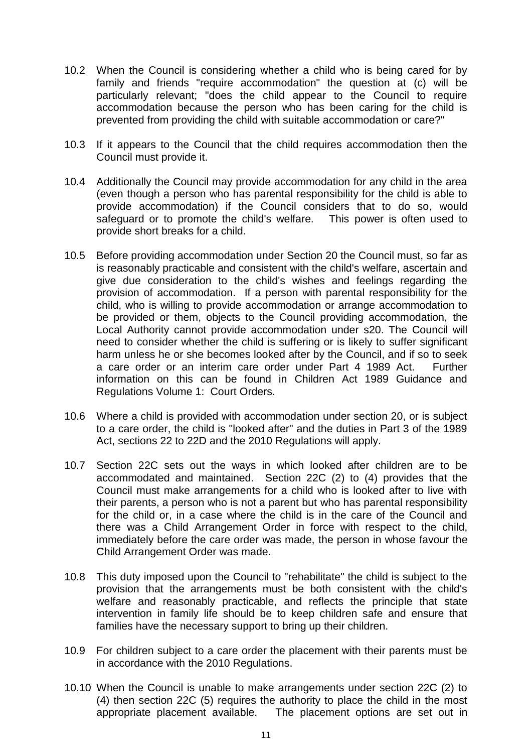- 10.2 When the Council is considering whether a child who is being cared for by family and friends "require accommodation" the question at (c) will be particularly relevant; "does the child appear to the Council to require accommodation because the person who has been caring for the child is prevented from providing the child with suitable accommodation or care?"
- 10.3 If it appears to the Council that the child requires accommodation then the Council must provide it.
- 10.4 Additionally the Council may provide accommodation for any child in the area (even though a person who has parental responsibility for the child is able to provide accommodation) if the Council considers that to do so, would safeguard or to promote the child's welfare. This power is often used to provide short breaks for a child.
- 10.5 Before providing accommodation under Section 20 the Council must, so far as is reasonably practicable and consistent with the child's welfare, ascertain and give due consideration to the child's wishes and feelings regarding the provision of accommodation. If a person with parental responsibility for the child, who is willing to provide accommodation or arrange accommodation to be provided or them, objects to the Council providing accommodation, the Local Authority cannot provide accommodation under s20. The Council will need to consider whether the child is suffering or is likely to suffer significant harm unless he or she becomes looked after by the Council, and if so to seek a care order or an interim care order under Part 4 1989 Act. Further information on this can be found in Children Act 1989 Guidance and Regulations Volume 1: Court Orders.
- 10.6 Where a child is provided with accommodation under section 20, or is subject to a care order, the child is "looked after" and the duties in Part 3 of the 1989 Act, sections 22 to 22D and the 2010 Regulations will apply.
- 10.7 Section 22C sets out the ways in which looked after children are to be accommodated and maintained. Section 22C (2) to (4) provides that the Council must make arrangements for a child who is looked after to live with their parents, a person who is not a parent but who has parental responsibility for the child or, in a case where the child is in the care of the Council and there was a Child Arrangement Order in force with respect to the child, immediately before the care order was made, the person in whose favour the Child Arrangement Order was made.
- 10.8 This duty imposed upon the Council to "rehabilitate" the child is subject to the provision that the arrangements must be both consistent with the child's welfare and reasonably practicable, and reflects the principle that state intervention in family life should be to keep children safe and ensure that families have the necessary support to bring up their children.
- 10.9 For children subject to a care order the placement with their parents must be in accordance with the 2010 Regulations.
- 10.10 When the Council is unable to make arrangements under section 22C (2) to (4) then section 22C (5) requires the authority to place the child in the most appropriate placement available. The placement options are set out in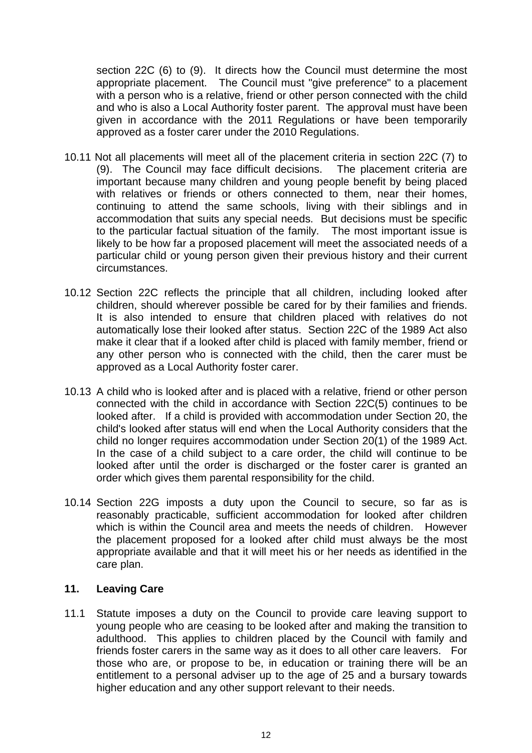section 22C (6) to (9). It directs how the Council must determine the most appropriate placement. The Council must "give preference" to a placement with a person who is a relative, friend or other person connected with the child and who is also a Local Authority foster parent. The approval must have been given in accordance with the 2011 Regulations or have been temporarily approved as a foster carer under the 2010 Regulations.

- 10.11 Not all placements will meet all of the placement criteria in section 22C (7) to (9). The Council may face difficult decisions. The placement criteria are important because many children and young people benefit by being placed with relatives or friends or others connected to them, near their homes, continuing to attend the same schools, living with their siblings and in accommodation that suits any special needs. But decisions must be specific to the particular factual situation of the family. The most important issue is likely to be how far a proposed placement will meet the associated needs of a particular child or young person given their previous history and their current circumstances.
- 10.12 Section 22C reflects the principle that all children, including looked after children, should wherever possible be cared for by their families and friends. It is also intended to ensure that children placed with relatives do not automatically lose their looked after status. Section 22C of the 1989 Act also make it clear that if a looked after child is placed with family member, friend or any other person who is connected with the child, then the carer must be approved as a Local Authority foster carer.
- 10.13 A child who is looked after and is placed with a relative, friend or other person connected with the child in accordance with Section 22C(5) continues to be looked after. If a child is provided with accommodation under Section 20, the child's looked after status will end when the Local Authority considers that the child no longer requires accommodation under Section 20(1) of the 1989 Act. In the case of a child subject to a care order, the child will continue to be looked after until the order is discharged or the foster carer is granted an order which gives them parental responsibility for the child.
- 10.14 Section 22G imposts a duty upon the Council to secure, so far as is reasonably practicable, sufficient accommodation for looked after children which is within the Council area and meets the needs of children. However the placement proposed for a looked after child must always be the most appropriate available and that it will meet his or her needs as identified in the care plan.

# **11. Leaving Care**

11.1 Statute imposes a duty on the Council to provide care leaving support to young people who are ceasing to be looked after and making the transition to adulthood. This applies to children placed by the Council with family and friends foster carers in the same way as it does to all other care leavers. For those who are, or propose to be, in education or training there will be an entitlement to a personal adviser up to the age of 25 and a bursary towards higher education and any other support relevant to their needs.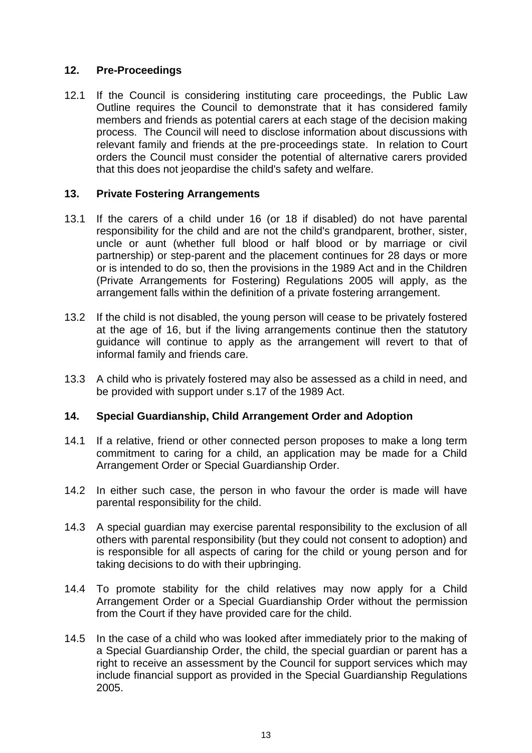# **12. Pre-Proceedings**

12.1 If the Council is considering instituting care proceedings, the Public Law Outline requires the Council to demonstrate that it has considered family members and friends as potential carers at each stage of the decision making process. The Council will need to disclose information about discussions with relevant family and friends at the pre-proceedings state. In relation to Court orders the Council must consider the potential of alternative carers provided that this does not jeopardise the child's safety and welfare.

# **13. Private Fostering Arrangements**

- 13.1 If the carers of a child under 16 (or 18 if disabled) do not have parental responsibility for the child and are not the child's grandparent, brother, sister, uncle or aunt (whether full blood or half blood or by marriage or civil partnership) or step-parent and the placement continues for 28 days or more or is intended to do so, then the provisions in the 1989 Act and in the Children (Private Arrangements for Fostering) Regulations 2005 will apply, as the arrangement falls within the definition of a private fostering arrangement.
- 13.2 If the child is not disabled, the young person will cease to be privately fostered at the age of 16, but if the living arrangements continue then the statutory guidance will continue to apply as the arrangement will revert to that of informal family and friends care.
- 13.3 A child who is privately fostered may also be assessed as a child in need, and be provided with support under s.17 of the 1989 Act.

# **14. Special Guardianship, Child Arrangement Order and Adoption**

- 14.1 If a relative, friend or other connected person proposes to make a long term commitment to caring for a child, an application may be made for a Child Arrangement Order or Special Guardianship Order.
- 14.2 In either such case, the person in who favour the order is made will have parental responsibility for the child.
- 14.3 A special guardian may exercise parental responsibility to the exclusion of all others with parental responsibility (but they could not consent to adoption) and is responsible for all aspects of caring for the child or young person and for taking decisions to do with their upbringing.
- 14.4 To promote stability for the child relatives may now apply for a Child Arrangement Order or a Special Guardianship Order without the permission from the Court if they have provided care for the child.
- 14.5 In the case of a child who was looked after immediately prior to the making of a Special Guardianship Order, the child, the special guardian or parent has a right to receive an assessment by the Council for support services which may include financial support as provided in the Special Guardianship Regulations 2005.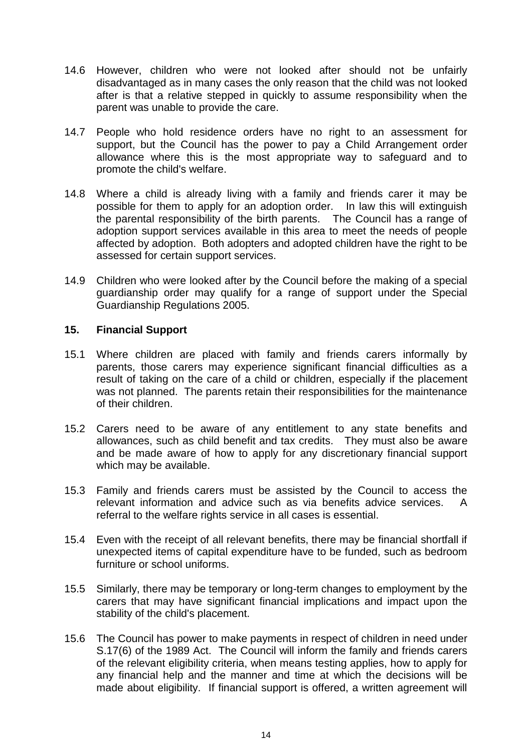- 14.6 However, children who were not looked after should not be unfairly disadvantaged as in many cases the only reason that the child was not looked after is that a relative stepped in quickly to assume responsibility when the parent was unable to provide the care.
- 14.7 People who hold residence orders have no right to an assessment for support, but the Council has the power to pay a Child Arrangement order allowance where this is the most appropriate way to safeguard and to promote the child's welfare.
- 14.8 Where a child is already living with a family and friends carer it may be possible for them to apply for an adoption order. In law this will extinguish the parental responsibility of the birth parents. The Council has a range of adoption support services available in this area to meet the needs of people affected by adoption. Both adopters and adopted children have the right to be assessed for certain support services.
- 14.9 Children who were looked after by the Council before the making of a special guardianship order may qualify for a range of support under the Special Guardianship Regulations 2005.

# **15. Financial Support**

- 15.1 Where children are placed with family and friends carers informally by parents, those carers may experience significant financial difficulties as a result of taking on the care of a child or children, especially if the placement was not planned. The parents retain their responsibilities for the maintenance of their children.
- 15.2 Carers need to be aware of any entitlement to any state benefits and allowances, such as child benefit and tax credits. They must also be aware and be made aware of how to apply for any discretionary financial support which may be available.
- 15.3 Family and friends carers must be assisted by the Council to access the relevant information and advice such as via benefits advice services. A referral to the welfare rights service in all cases is essential.
- 15.4 Even with the receipt of all relevant benefits, there may be financial shortfall if unexpected items of capital expenditure have to be funded, such as bedroom furniture or school uniforms.
- 15.5 Similarly, there may be temporary or long-term changes to employment by the carers that may have significant financial implications and impact upon the stability of the child's placement.
- 15.6 The Council has power to make payments in respect of children in need under S.17(6) of the 1989 Act. The Council will inform the family and friends carers of the relevant eligibility criteria, when means testing applies, how to apply for any financial help and the manner and time at which the decisions will be made about eligibility. If financial support is offered, a written agreement will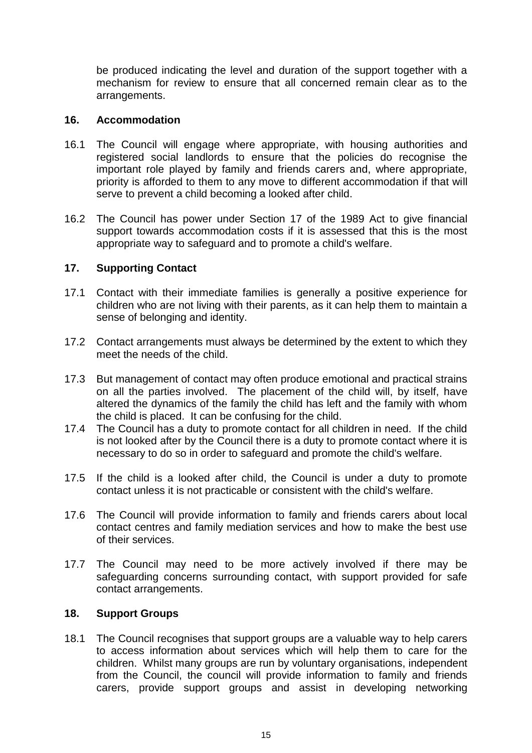be produced indicating the level and duration of the support together with a mechanism for review to ensure that all concerned remain clear as to the arrangements.

#### **16. Accommodation**

- 16.1 The Council will engage where appropriate, with housing authorities and registered social landlords to ensure that the policies do recognise the important role played by family and friends carers and, where appropriate, priority is afforded to them to any move to different accommodation if that will serve to prevent a child becoming a looked after child.
- 16.2 The Council has power under Section 17 of the 1989 Act to give financial support towards accommodation costs if it is assessed that this is the most appropriate way to safeguard and to promote a child's welfare.

#### **17. Supporting Contact**

- 17.1 Contact with their immediate families is generally a positive experience for children who are not living with their parents, as it can help them to maintain a sense of belonging and identity.
- 17.2 Contact arrangements must always be determined by the extent to which they meet the needs of the child.
- 17.3 But management of contact may often produce emotional and practical strains on all the parties involved. The placement of the child will, by itself, have altered the dynamics of the family the child has left and the family with whom the child is placed. It can be confusing for the child.
- 17.4 The Council has a duty to promote contact for all children in need. If the child is not looked after by the Council there is a duty to promote contact where it is necessary to do so in order to safeguard and promote the child's welfare.
- 17.5 If the child is a looked after child, the Council is under a duty to promote contact unless it is not practicable or consistent with the child's welfare.
- 17.6 The Council will provide information to family and friends carers about local contact centres and family mediation services and how to make the best use of their services.
- 17.7 The Council may need to be more actively involved if there may be safeguarding concerns surrounding contact, with support provided for safe contact arrangements.

#### **18. Support Groups**

18.1 The Council recognises that support groups are a valuable way to help carers to access information about services which will help them to care for the children. Whilst many groups are run by voluntary organisations, independent from the Council, the council will provide information to family and friends carers, provide support groups and assist in developing networking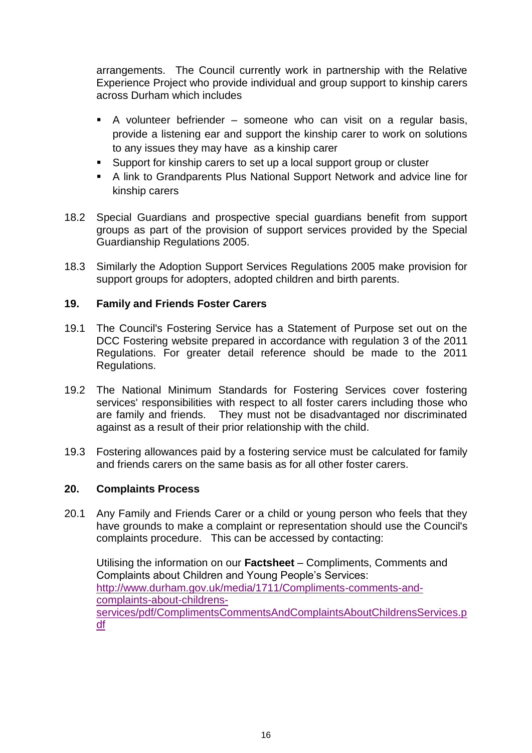arrangements. The Council currently work in partnership with the Relative Experience Project who provide individual and group support to kinship carers across Durham which includes

- A volunteer befriender someone who can visit on a regular basis, provide a listening ear and support the kinship carer to work on solutions to any issues they may have as a kinship carer
- Support for kinship carers to set up a local support group or cluster
- A link to Grandparents Plus National Support Network and advice line for kinship carers
- 18.2 Special Guardians and prospective special guardians benefit from support groups as part of the provision of support services provided by the Special Guardianship Regulations 2005.
- 18.3 Similarly the Adoption Support Services Regulations 2005 make provision for support groups for adopters, adopted children and birth parents.

# **19. Family and Friends Foster Carers**

- 19.1 The Council's Fostering Service has a Statement of Purpose set out on the DCC Fostering website prepared in accordance with regulation 3 of the 2011 Regulations. For greater detail reference should be made to the 2011 Regulations.
- 19.2 The National Minimum Standards for Fostering Services cover fostering services' responsibilities with respect to all foster carers including those who are family and friends. They must not be disadvantaged nor discriminated against as a result of their prior relationship with the child.
- 19.3 Fostering allowances paid by a fostering service must be calculated for family and friends carers on the same basis as for all other foster carers.

# **20. Complaints Process**

20.1 Any Family and Friends Carer or a child or young person who feels that they have grounds to make a complaint or representation should use the Council's complaints procedure. This can be accessed by contacting:

Utilising the information on our **Factsheet** – Compliments, Comments and Complaints about Children and Young People's Services: [http://www.durham.gov.uk/media/1711/Compliments-comments-and](http://www.durham.gov.uk/media/1711/Compliments-comments-and-complaints-about-childrens-services/pdf/ComplimentsCommentsAndComplaintsAboutChildrensServices.pdf)[complaints-about-childrens](http://www.durham.gov.uk/media/1711/Compliments-comments-and-complaints-about-childrens-services/pdf/ComplimentsCommentsAndComplaintsAboutChildrensServices.pdf)[services/pdf/ComplimentsCommentsAndComplaintsAboutChildrensServices.p](http://www.durham.gov.uk/media/1711/Compliments-comments-and-complaints-about-childrens-services/pdf/ComplimentsCommentsAndComplaintsAboutChildrensServices.pdf) [df](http://www.durham.gov.uk/media/1711/Compliments-comments-and-complaints-about-childrens-services/pdf/ComplimentsCommentsAndComplaintsAboutChildrensServices.pdf)